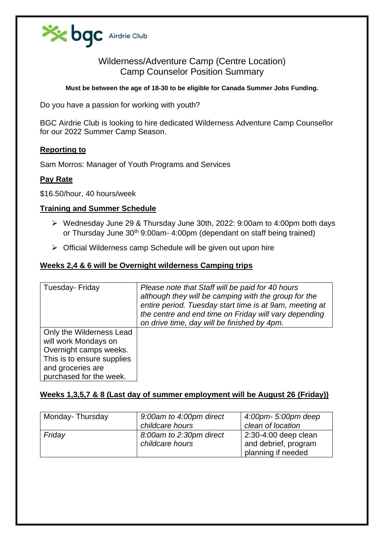

# Wilderness/Adventure Camp (Centre Location) Camp Counselor Position Summary

#### **Must be between the age of 18-30 to be eligible for Canada Summer Jobs Funding.**

Do you have a passion for working with youth?

BGC Airdrie Club is looking to hire dedicated Wilderness Adventure Camp Counsellor for our 2022 Summer Camp Season.

## **Reporting to**

Sam Morros: Manager of Youth Programs and Services

## **Pay Rate**

\$16.50/hour, 40 hours/week

## **Training and Summer Schedule**

- ➢ Wednesday June 29 & Thursday June 30th, 2022: 9:00am to 4:00pm both days or Thursday June 30<sup>th</sup> 9:00am- 4:00pm (dependant on staff being trained)
- ➢ Official Wilderness camp Schedule will be given out upon hire

## **Weeks 2,4 & 6 will be Overnight wilderness Camping trips**

| Tuesday- Friday                                                                                                                                          | Please note that Staff will be paid for 40 hours<br>although they will be camping with the group for the<br>entire period. Tuesday start time is at 9am, meeting at<br>the centre and end time on Friday will vary depending<br>on drive time, day will be finished by 4pm. |
|----------------------------------------------------------------------------------------------------------------------------------------------------------|-----------------------------------------------------------------------------------------------------------------------------------------------------------------------------------------------------------------------------------------------------------------------------|
| Only the Wilderness Lead<br>will work Mondays on<br>Overnight camps weeks.<br>This is to ensure supplies<br>and groceries are<br>purchased for the week. |                                                                                                                                                                                                                                                                             |

## **Weeks 1,3,5,7 & 8 (Last day of summer employment will be August 26 (Friday))**

| Monday-Thursday | 9:00am to 4:00pm direct<br>childcare hours | 4:00pm- 5:00pm deep<br>clean of location                           |
|-----------------|--------------------------------------------|--------------------------------------------------------------------|
| Friday          | 8:00am to 2:30pm direct<br>childcare hours | 2:30-4:00 deep clean<br>and debrief, program<br>planning if needed |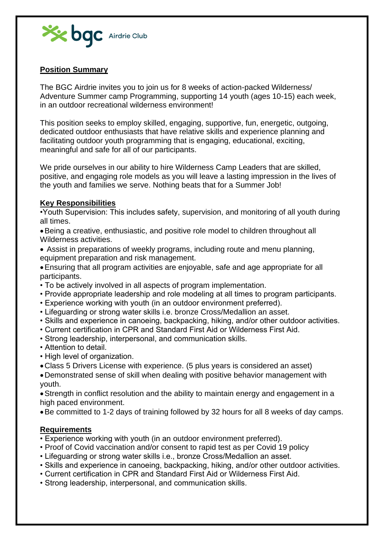

# **Position Summary**

The BGC Airdrie invites you to join us for 8 weeks of action-packed Wilderness/ Adventure Summer camp Programming, supporting 14 youth (ages 10-15) each week, in an outdoor recreational wilderness environment!

This position seeks to employ skilled, engaging, supportive, fun, energetic, outgoing, dedicated outdoor enthusiasts that have relative skills and experience planning and facilitating outdoor youth programming that is engaging, educational, exciting, meaningful and safe for all of our participants.

We pride ourselves in our ability to hire Wilderness Camp Leaders that are skilled. positive, and engaging role models as you will leave a lasting impression in the lives of the youth and families we serve. Nothing beats that for a Summer Job!

## **Key Responsibilities**

•Youth Supervision: This includes safety, supervision, and monitoring of all youth during all times.

•Being a creative, enthusiastic, and positive role model to children throughout all Wilderness activities.

- Assist in preparations of weekly programs, including route and menu planning, equipment preparation and risk management.
- •Ensuring that all program activities are enjoyable, safe and age appropriate for all participants.
- To be actively involved in all aspects of program implementation.
- Provide appropriate leadership and role modeling at all times to program participants.
- Experience working with youth (in an outdoor environment preferred).
- Lifeguarding or strong water skills i.e. bronze Cross/Medallion an asset.
- Skills and experience in canoeing, backpacking, hiking, and/or other outdoor activities.
- Current certification in CPR and Standard First Aid or Wilderness First Aid.
- Strong leadership, interpersonal, and communication skills.
- Attention to detail.
- High level of organization.
- •Class 5 Drivers License with experience. (5 plus years is considered an asset)
- •Demonstrated sense of skill when dealing with positive behavior management with youth.

•Strength in conflict resolution and the ability to maintain energy and engagement in a high paced environment.

•Be committed to 1-2 days of training followed by 32 hours for all 8 weeks of day camps.

#### **Requirements**

- Experience working with youth (in an outdoor environment preferred).
- Proof of Covid vaccination and/or consent to rapid test as per Covid 19 policy
- Lifeguarding or strong water skills i.e., bronze Cross/Medallion an asset.
- Skills and experience in canoeing, backpacking, hiking, and/or other outdoor activities.
- Current certification in CPR and Standard First Aid or Wilderness First Aid.
- Strong leadership, interpersonal, and communication skills.